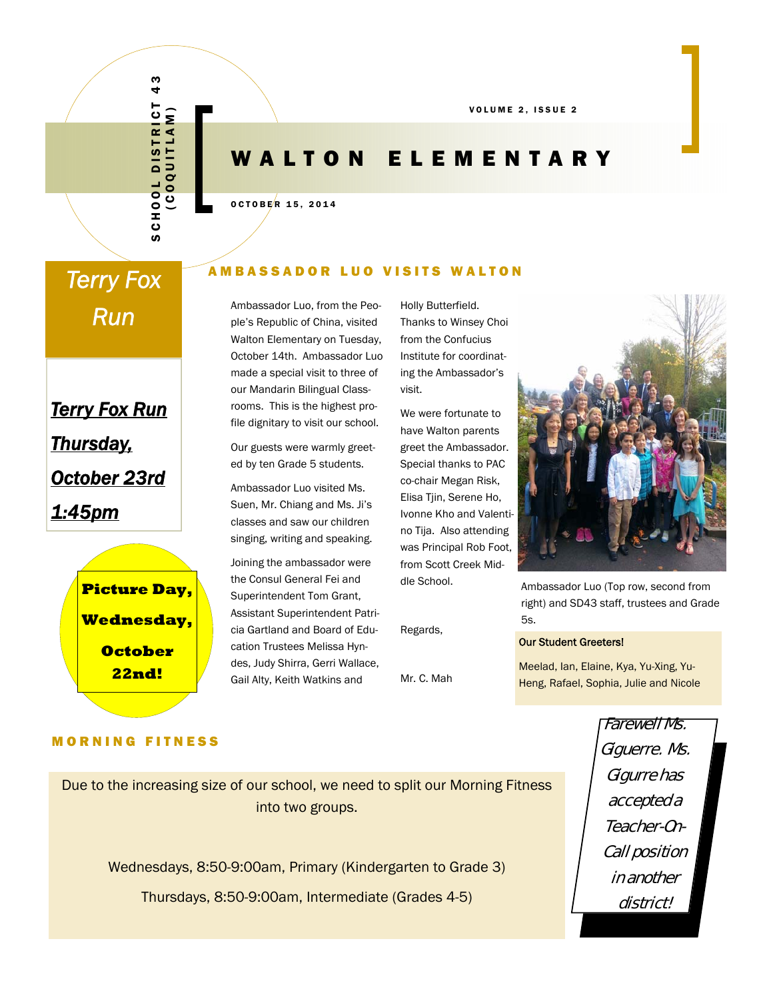VOLUME 2, ISSUE 2

## WALTON ELEMENTARY

OCTOBER 15, 2014

# *Terry Fox*

*Terry Fox Run Thursday, October 23rd 1:45pm*



#### MORNING FITNESS

## **AMBASSADOR LUO VISITS WALTON**

**Run** Ambassador Luo, from the Peo-<br>
ple's Republic of China, visited Walton Elementary on Tuesday, October 14th. Ambassador Luo made a special visit to three of our Mandarin Bilingual Classrooms. This is the highest profile dignitary to visit our school.

> Our guests were warmly greeted by ten Grade 5 students.

Ambassador Luo visited Ms. Suen, Mr. Chiang and Ms. Ji's classes and saw our children singing, writing and speaking.

Joining the ambassador were the Consul General Fei and Superintendent Tom Grant, Assistant Superintendent Patricia Gartland and Board of Education Trustees Melissa Hyndes, Judy Shirra, Gerri Wallace, Gail Alty, Keith Watkins and THURSDAY<br>
THURSDAY MAINTON ELEM MANUSAS (SOLUTION TRIS WA<br>
AMBASSADOR LUO VISITS WA<br>
AMBASSADOR LUO VISITS WA<br>
AMBASSADOR LUO VISITS WA<br>
MESSAGROLOM, from the Portugal Classic Tunning to The Conformed Talm, the Mission Con

Holly Butterfield. Thanks to Winsey Choi from the Confucius Institute for coordinating the Ambassador's visit.

We were fortunate to have Walton parents greet the Ambassador. Special thanks to PAC co-chair Megan Risk, Elisa Tjin, Serene Ho, Ivonne Kho and Valentino Tija. Also attending was Principal Rob Foot, from Scott Creek Middle School.

Regards,

Mr. C. Mah



Ambassador Luo (Top row, second from right) and SD43 staff, trustees and Grade 5s.

#### Our Student Greeters!

Meelad, Ian, Elaine, Kya, Yu-Xing, Yu-Heng, Rafael, Sophia, Julie and Nicole

Due to the increasing size of our school, we need to split our Morning Fitness into two groups.

Wednesdays, 8:50-9:00am, Primary (Kindergarten to Grade 3)

Farewell Ms. Giguerre. Ms. Gigurre has accepted a Teacher-On-Call position in another district!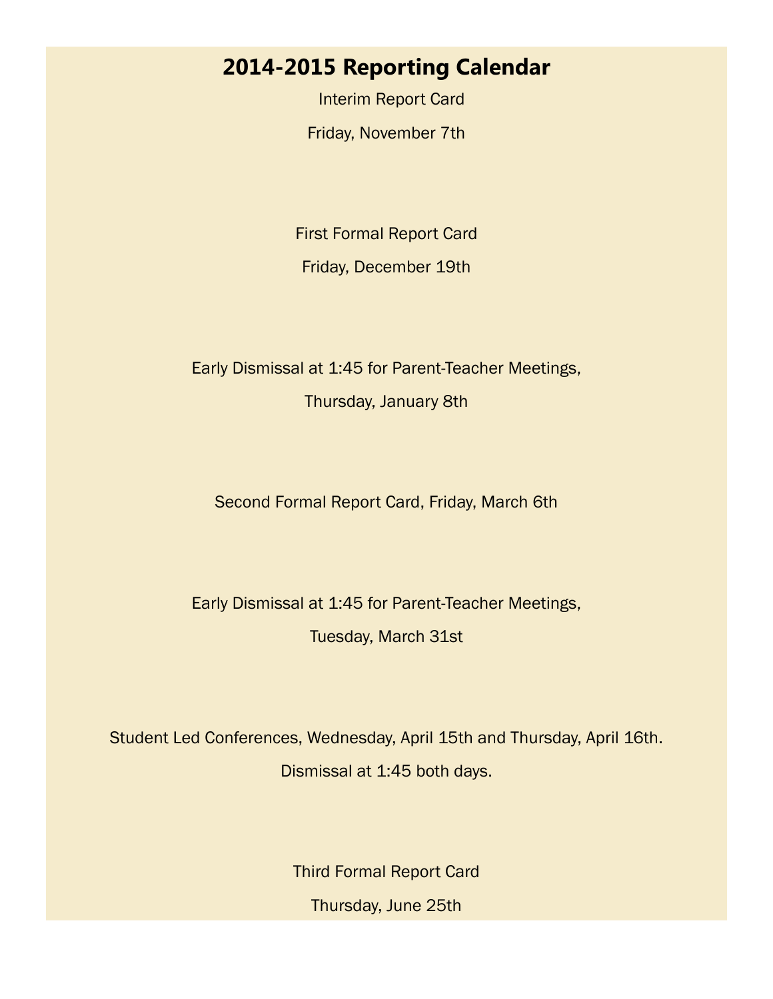## **2014-2015 Reporting Calendar**

 Interim Report Card Friday, November 7th

First Formal Report Card Friday, December 19th

## Early Dismissal at 1:45 for Parent-Teacher Meetings,

Thursday, January 8th

### Second Formal Report Card, Friday, March 6th

## Early Dismissal at 1:45 for Parent-Teacher Meetings, Tuesday, March 31st

Student Led Conferences, Wednesday, April 15th and Thursday, April 16th. Dismissal at 1:45 both days.

> Third Formal Report Card Thursday, June 25th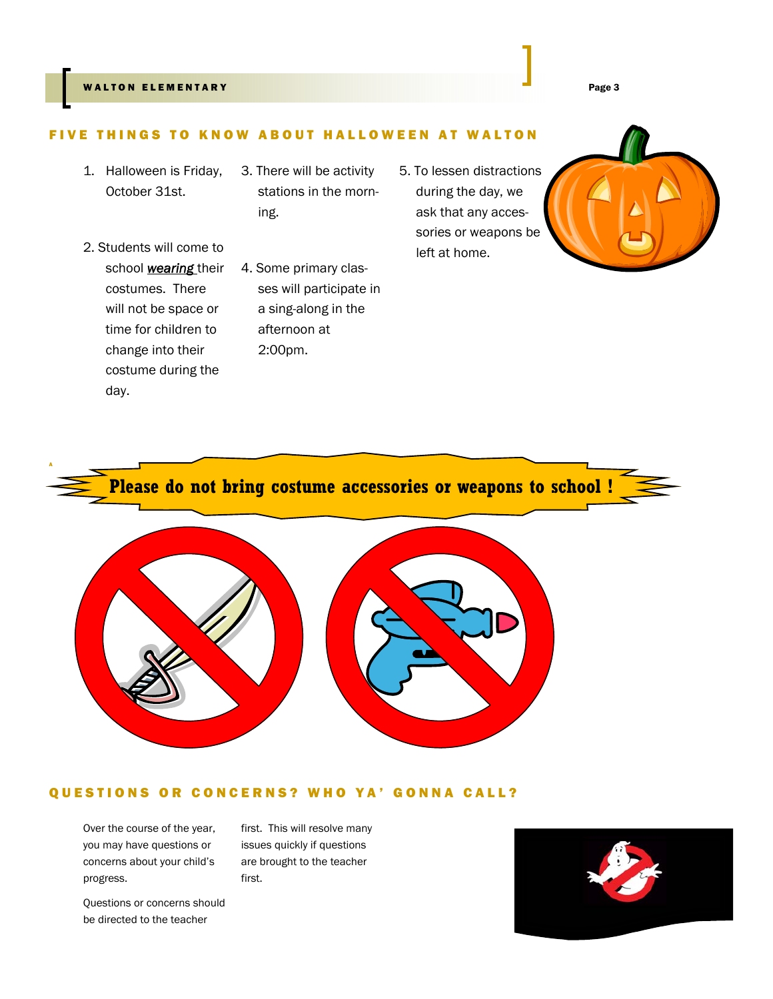#### WALTON ELEMENTARY Page 3

#### FIVE THINGS TO KNOW AB OUT HALLOWEEN AT WALTON

- 1. Halloween is Friday, October 31st.
- 2. Students will come to school *wearing* their costumes. There will not be space or time for children to change into their costume during the day.

A

- 3. There will be activity stations in the morning.
- 4. Some primary classes will participate in a sing-along in the afternoon at 2:00pm.
- 5. To lessen distractions during the day, we ask that any accessories or weapons be left at home.









#### QUESTIONS OR CONCERNS? WHO YA' GONNA CALL?

Over the course of the year, you may have questions or concerns about your child's progress.

Questions or concerns should be directed to the teacher

first. This will resolve many issues quickly if questions are brought to the teacher first.

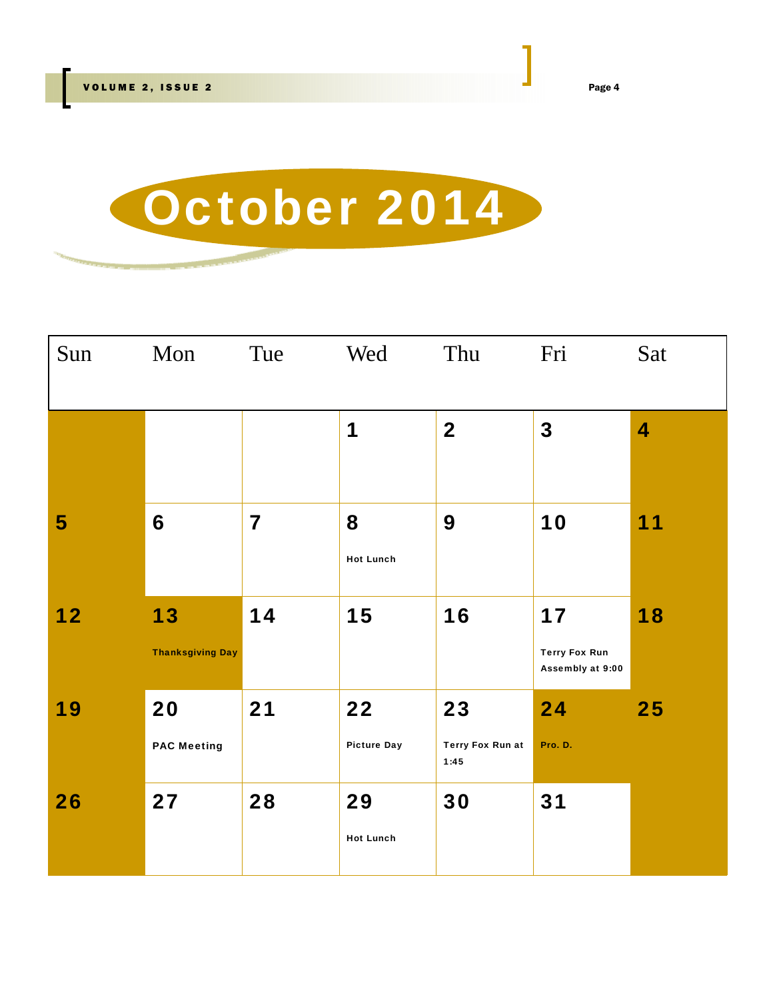

| Sun            | Mon                           | Tue                     | Wed                      | Thu                                   | Fri                                            | Sat                     |
|----------------|-------------------------------|-------------------------|--------------------------|---------------------------------------|------------------------------------------------|-------------------------|
|                |                               |                         | 1                        | $\overline{\mathbf{2}}$               | $\overline{\mathbf{3}}$                        | $\overline{\mathbf{4}}$ |
| 5 <sup>5</sup> | 6                             | $\overline{\mathbf{7}}$ | 8<br><b>Hot Lunch</b>    | 9                                     | 10                                             | 11                      |
| 12             | 13<br><b>Thanksgiving Day</b> | 14                      | 15                       | 16                                    | 17<br><b>Terry Fox Run</b><br>Assembly at 9:00 | 18                      |
| 19             | 20<br><b>PAC Meeting</b>      | 21                      | 22<br><b>Picture Day</b> | 23<br><b>Terry Fox Run at</b><br>1:45 | 24<br>Pro. D.                                  | 25                      |
| 26             | 27                            | 28                      | 29<br><b>Hot Lunch</b>   | 30                                    | 31                                             |                         |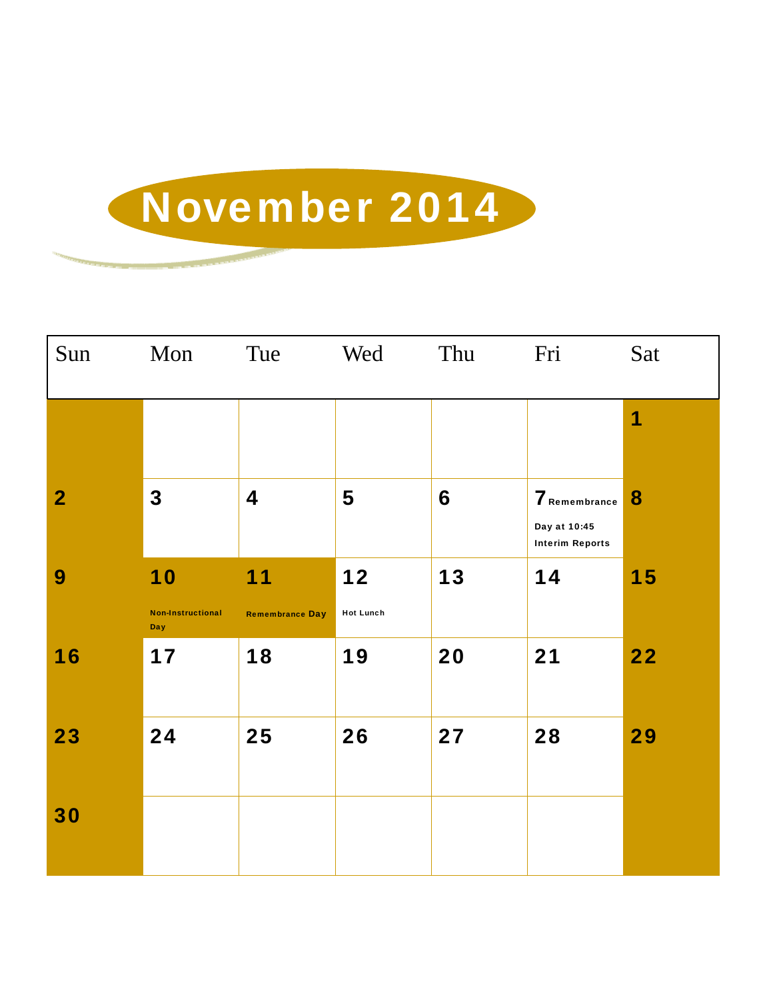## November 2014

| Sun            | Mon                                   | Tue                          | Wed                    | Thu | Fri                                                     | Sat |
|----------------|---------------------------------------|------------------------------|------------------------|-----|---------------------------------------------------------|-----|
|                |                                       |                              |                        |     |                                                         | 1   |
| $\overline{2}$ | $\mathbf 3$                           | 4                            | 5                      | 6   | 7 Remembrance<br>Day at 10:45<br><b>Interim Reports</b> | 8   |
| 9              | 10<br><b>Non-Instructional</b><br>Day | 11<br><b>Remembrance Day</b> | 12<br><b>Hot Lunch</b> | 13  | 14                                                      | 15  |
| 16             | 17                                    | 18                           | 19                     | 20  | 21                                                      | 22  |
| 23             | 24                                    | 25                           | 26                     | 27  | 28                                                      | 29  |
| 30             |                                       |                              |                        |     |                                                         |     |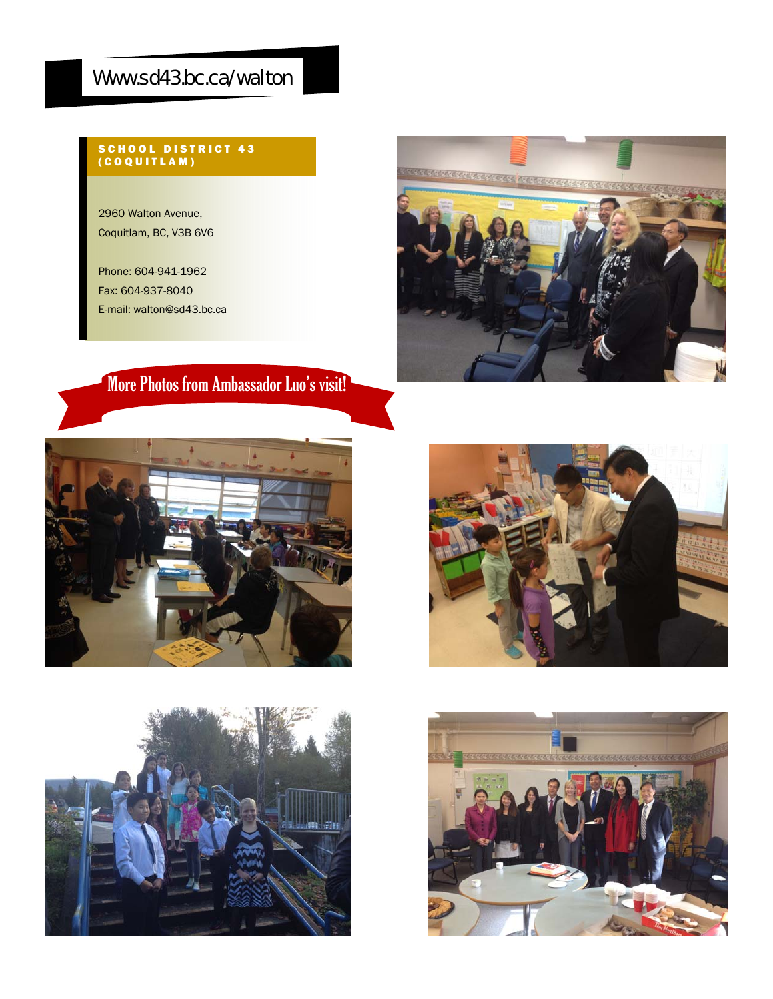## Www.sd43.bc.ca/walton

#### SCHOOL DISTRICT 43 (COQUITLAM)

2960 Walton Avenue, Coquitlam, BC, V3B 6V6

Phone: 604-941-1962 Fax: 604-937-8040 E-mail: walton@sd43.bc.ca



## More Photos from Ambassador Luo's visit!